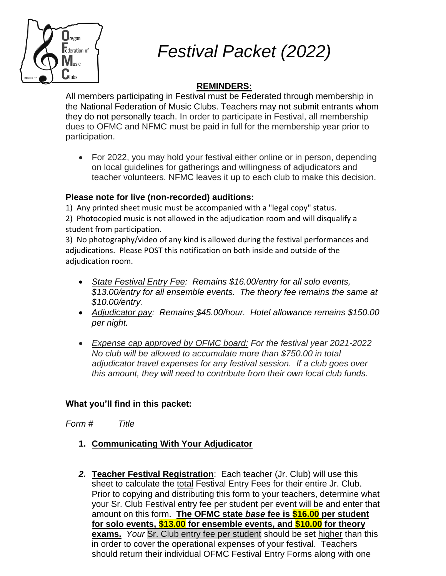

*Festival Packet (2022)*

### **REMINDERS:**

All members participating in Festival must be Federated through membership in the National Federation of Music Clubs. Teachers may not submit entrants whom they do not personally teach. In order to participate in Festival, all membership dues to OFMC and NFMC must be paid in full for the membership year prior to participation.

 For 2022, you may hold your festival either online or in person, depending on local guidelines for gatherings and willingness of adjudicators and teacher volunteers. NFMC leaves it up to each club to make this decision.

### **Please note for live (non-recorded) auditions:**

1) Any printed sheet music must be accompanied with a "legal copy" status.

2) Photocopied music is not allowed in the adjudication room and will disqualify a student from participation.

3) No photography/video of any kind is allowed during the festival performances and adjudications. Please POST this notification on both inside and outside of the adjudication room.

- *State Festival Entry Fee: Remains \$16.00/entry for all solo events, \$13.00/entry for all ensemble events. The theory fee remains the same at \$10.00/entry.*
- *Adjudicator pay: Remains \$45.00/hour. Hotel allowance remains \$150.00 per night.*
- *Expense cap approved by OFMC board: For the festival year 2021-2022 No club will be allowed to accumulate more than \$750.00 in total adjudicator travel expenses for any festival session. If a club goes over this amount, they will need to contribute from their own local club funds.*

### **What you'll find in this packet:**

*Form # Title*

- **1. Communicating With Your Adjudicator**
- *2.* **Teacher Festival Registration**: Each teacher (Jr. Club) will use this sheet to calculate the total Festival Entry Fees for their entire Jr. Club. Prior to copying and distributing this form to your teachers, determine what your Sr. Club Festival entry fee per student per event will be and enter that amount on this form. **The OFMC state** *base* **fee is \$16.00 per student for solo events, \$13.00 for ensemble events, and \$10.00 for theory exams.** *Your* Sr. Club entry fee per student should be set higher than this in order to cover the operational expenses of your festival. Teachers should return their individual OFMC Festival Entry Forms along with one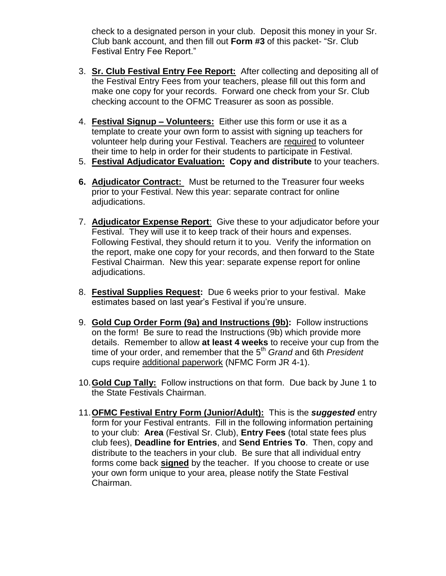check to a designated person in your club. Deposit this money in your Sr. Club bank account, and then fill out **Form #3** of this packet- "Sr. Club Festival Entry Fee Report."

- 3. **Sr. Club Festival Entry Fee Report:** After collecting and depositing all of the Festival Entry Fees from your teachers, please fill out this form and make one copy for your records. Forward one check from your Sr. Club checking account to the OFMC Treasurer as soon as possible.
- 4. **Festival Signup – Volunteers:** Either use this form or use it as a template to create your own form to assist with signing up teachers for volunteer help during your Festival. Teachers are required to volunteer their time to help in order for their students to participate in Festival.
- 5. **Festival Adjudicator Evaluation: Copy and distribute** to your teachers.
- **6. Adjudicator Contract:** Must be returned to the Treasurer four weeks prior to your Festival. New this year: separate contract for online adjudications.
- 7. **Adjudicator Expense Report**: Give these to your adjudicator before your Festival. They will use it to keep track of their hours and expenses. Following Festival, they should return it to you. Verify the information on the report, make one copy for your records, and then forward to the State Festival Chairman. New this year: separate expense report for online adjudications.
- 8. **Festival Supplies Request:** Due 6 weeks prior to your festival. Make estimates based on last year's Festival if you're unsure.
- 9. **Gold Cup Order Form (9a) and Instructions (9b):** Follow instructions on the form! Be sure to read the Instructions (9b) which provide more details. Remember to allow **at least 4 weeks** to receive your cup from the time of your order, and remember that the 5<sup>th</sup> Grand and 6th *President* cups require additional paperwork (NFMC Form JR 4-1).
- 10.**Gold Cup Tally:** Follow instructions on that form. Due back by June 1 to the State Festivals Chairman.
- 11.**OFMC Festival Entry Form (Junior/Adult):** This is the *suggested* entry form for your Festival entrants. Fill in the following information pertaining to your club: **Area** (Festival Sr. Club), **Entry Fees** (total state fees plus club fees), **Deadline for Entries**, and **Send Entries To**. Then, copy and distribute to the teachers in your club. Be sure that all individual entry forms come back **signed** by the teacher. If you choose to create or use your own form unique to your area, please notify the State Festival Chairman.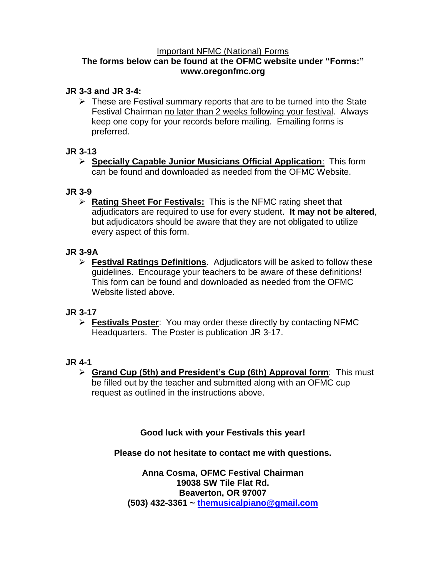### Important NFMC (National) Forms

### **The forms below can be found at the OFMC website under "Forms:" www.oregonfmc.org**

### **JR 3-3 and JR 3-4:**

 $\triangleright$  These are Festival summary reports that are to be turned into the State Festival Chairman no later than 2 weeks following your festival. Always keep one copy for your records before mailing. Emailing forms is preferred.

### **JR 3-13**

 **Specially Capable Junior Musicians Official Application**: This form can be found and downloaded as needed from the OFMC Website.

### **JR 3-9**

 **Rating Sheet For Festivals:** This is the NFMC rating sheet that adjudicators are required to use for every student. **It may not be altered**, but adjudicators should be aware that they are not obligated to utilize every aspect of this form.

### **JR 3-9A**

 **Festival Ratings Definitions**. Adjudicators will be asked to follow these guidelines. Encourage your teachers to be aware of these definitions! This form can be found and downloaded as needed from the OFMC Website listed above.

### **JR 3-17**

 **Festivals Poster**: You may order these directly by contacting NFMC Headquarters. The Poster is publication JR 3-17.

### **JR 4-1**

 **Grand Cup (5th) and President's Cup (6th) Approval form**: This must be filled out by the teacher and submitted along with an OFMC cup request as outlined in the instructions above.

### **Good luck with your Festivals this year!**

### **Please do not hesitate to contact me with questions.**

**Anna Cosma, OFMC Festival Chairman 19038 SW Tile Flat Rd. Beaverton, OR 97007 (503) 432-3361 ~ [themusicalpiano@gmail.com](http://themusicalpiano@gmail.com/)**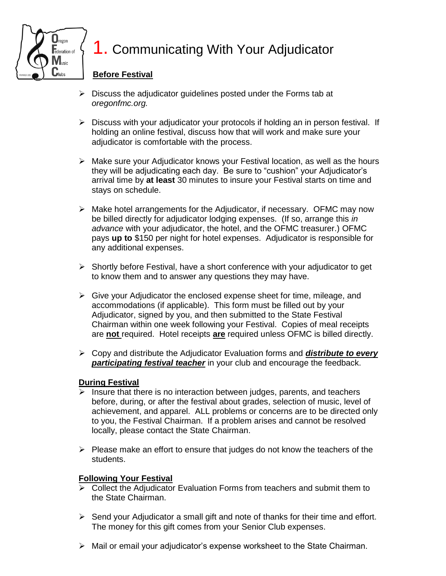

## **1. Communicating With Your Adjudicator**

### **Before Festival**

- $\triangleright$  Discuss the adjudicator quidelines posted under the Forms tab at *oregonfmc.org.*
- $\triangleright$  Discuss with your adjudicator your protocols if holding an in person festival. If holding an online festival, discuss how that will work and make sure your adjudicator is comfortable with the process.
- $\triangleright$  Make sure your Adjudicator knows your Festival location, as well as the hours they will be adjudicating each day. Be sure to "cushion" your Adjudicator's arrival time by **at least** 30 minutes to insure your Festival starts on time and stays on schedule.
- $\triangleright$  Make hotel arrangements for the Adjudicator, if necessary. OFMC may now be billed directly for adjudicator lodging expenses. (If so, arrange this *in advance* with your adjudicator, the hotel, and the OFMC treasurer.) OFMC pays **up to** \$150 per night for hotel expenses. Adjudicator is responsible for any additional expenses.
- $\triangleright$  Shortly before Festival, have a short conference with your adjudicator to get to know them and to answer any questions they may have.
- $\triangleright$  Give your Adjudicator the enclosed expense sheet for time, mileage, and accommodations (if applicable). This form must be filled out by your Adjudicator, signed by you, and then submitted to the State Festival Chairman within one week following your Festival. Copies of meal receipts are **not** required. Hotel receipts **are** required unless OFMC is billed directly.
- Copy and distribute the Adjudicator Evaluation forms and *distribute to every participating festival teacher* in your club and encourage the feedback.

### **During Festival**

- $\triangleright$  Insure that there is no interaction between judges, parents, and teachers before, during, or after the festival about grades, selection of music, level of achievement, and apparel. ALL problems or concerns are to be directed only to you, the Festival Chairman. If a problem arises and cannot be resolved locally, please contact the State Chairman.
- $\triangleright$  Please make an effort to ensure that judges do not know the teachers of the students.

### **Following Your Festival**

- $\triangleright$  Collect the Adjudicator Evaluation Forms from teachers and submit them to the State Chairman.
- $\triangleright$  Send your Adjudicator a small gift and note of thanks for their time and effort. The money for this gift comes from your Senior Club expenses.
- $\triangleright$  Mail or email your adjudicator's expense worksheet to the State Chairman.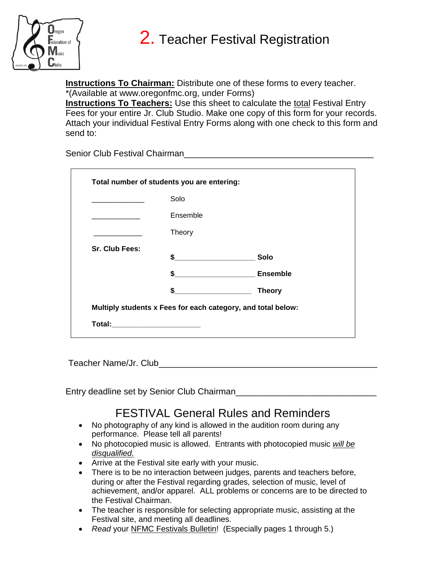



**Instructions To Chairman:** Distribute one of these forms to every teacher. \*(Available at www.oregonfmc.org, under Forms)

**Instructions To Teachers:** Use this sheet to calculate the total Festival Entry Fees for your entire Jr. Club Studio. Make one copy of this form for your records. Attach your individual Festival Entry Forms along with one check to this form and send to:

Senior Club Festival Chairman\_\_\_\_\_\_\_\_\_\_\_\_\_\_\_\_\_\_\_\_\_\_\_\_\_\_\_\_\_\_\_\_\_\_\_\_\_\_\_

|                | Solo                                                         |                 |
|----------------|--------------------------------------------------------------|-----------------|
|                | Ensemble                                                     |                 |
|                | Theory                                                       |                 |
| Sr. Club Fees: |                                                              |                 |
|                |                                                              | Solo            |
|                | $\mathbf{s}$                                                 | <b>Ensemble</b> |
|                | \$                                                           | <b>Theory</b>   |
|                | Multiply students x Fees for each category, and total below: |                 |

Teacher Name/Jr. Club\_\_\_\_\_\_\_\_\_\_\_\_\_\_\_\_\_\_\_\_\_\_\_\_\_\_\_\_\_\_\_\_\_\_\_\_\_\_\_\_\_\_\_\_\_

Entry deadline set by Senior Club Chairman\_\_\_\_\_\_\_\_\_\_\_\_\_

### FESTIVAL General Rules and Reminders

- No photography of any kind is allowed in the audition room during any performance. Please tell all parents!
- No photocopied music is allowed. Entrants with photocopied music *will be disqualified.*
- Arrive at the Festival site early with your music.
- There is to be no interaction between judges, parents and teachers before, during or after the Festival regarding grades, selection of music, level of achievement, and/or apparel. ALL problems or concerns are to be directed to the Festival Chairman.
- The teacher is responsible for selecting appropriate music, assisting at the Festival site, and meeting all deadlines.
- *Read* your NFMC Festivals Bulletin! (Especially pages 1 through 5.)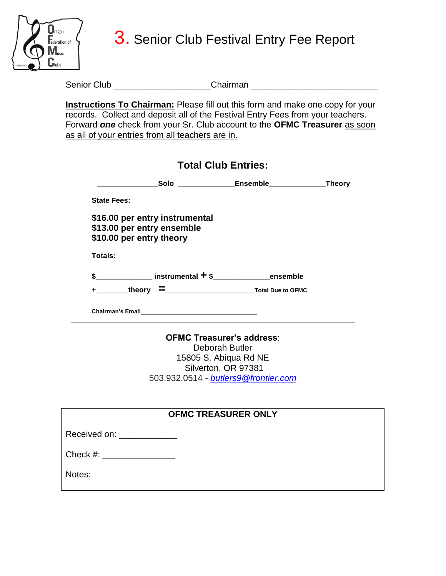

3. Senior Club Festival Entry Fee Report

Senior Club \_\_\_\_\_\_\_\_\_\_\_\_\_\_\_\_\_\_\_\_\_\_\_\_Chairman \_\_\_\_\_\_\_\_\_\_\_\_\_\_\_\_\_\_\_\_\_\_\_\_\_\_\_\_\_\_\_\_\_\_\_

**Instructions To Chairman:** Please fill out this form and make one copy for your records. Collect and deposit all of the Festival Entry Fees from your teachers. Forward *one* check from your Sr. Club account to the **OFMC Treasurer** as soon as all of your entries from all teachers are in.

|                    |                                                        | <b>Total Club Entries:</b> |         |
|--------------------|--------------------------------------------------------|----------------------------|---------|
|                    |                                                        | Solo Ensemble Ensemble     | _Theory |
| <b>State Fees:</b> |                                                        |                            |         |
|                    | \$16.00 per entry instrumental                         |                            |         |
|                    |                                                        |                            |         |
|                    |                                                        |                            |         |
|                    | \$13.00 per entry ensemble<br>\$10.00 per entry theory |                            |         |
| Totals:            |                                                        |                            |         |
|                    | $$$ ensemble                                           |                            |         |

**OFMC Treasurer's address**: Deborah Butler 15805 S. Abiqua Rd NE Silverton, OR 97381 503.932.0514 - *[butlers9@frontier.com](mailto:butlers9@frontier.com)*

| <b>OFMC TREASURER ONLY</b> |
|----------------------------|
|----------------------------|

| Received on: |  |
|--------------|--|
|--------------|--|

| Check #: |
|----------|
|----------|

Notes: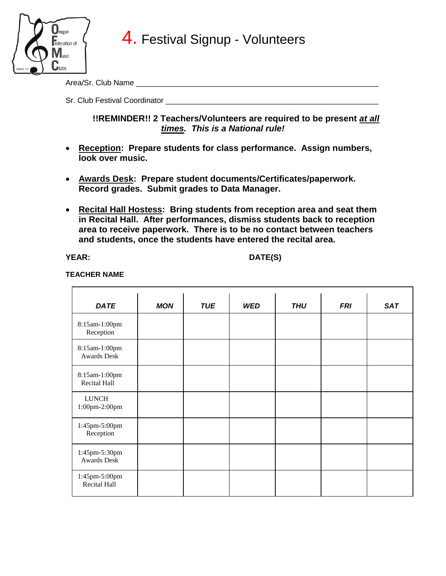

Area/Sr. Club Name \_\_\_\_\_\_\_\_\_\_\_\_\_\_\_\_\_\_\_\_\_\_\_\_\_\_\_\_\_\_\_\_\_\_\_\_\_\_\_\_\_\_\_\_\_\_\_\_\_\_\_\_\_\_\_\_\_

Sr. Club Festival Coordinator

### **!!REMINDER!! 2 Teachers/Volunteers are required to be present at all** *times. This is a National rule!*

- **Reception: Prepare students for class performance. Assign numbers, look over music.**
- **Awards Desk: Prepare student documents/Certificates/paperwork. Record grades. Submit grades to Data Manager.**
- **Recital Hall Hostess: Bring students from reception area and seat them in Recital Hall. After performances, dismiss students back to reception area to receive paperwork. There is to be no contact between teachers and students, once the students have entered the recital area.**

**YEAR: DATE(S)**

#### **TEACHER NAME**

| <b>DATE</b>                         | <b>MON</b> | <b>TUE</b> | <b>WED</b> | <b>THU</b> | <b>FRI</b> | <b>SAT</b> |
|-------------------------------------|------------|------------|------------|------------|------------|------------|
| 8:15am-1:00pm<br>Reception          |            |            |            |            |            |            |
| 8:15am-1:00pm<br><b>Awards Desk</b> |            |            |            |            |            |            |
| 8:15am-1:00pm<br>Recital Hall       |            |            |            |            |            |            |
| <b>LUNCH</b><br>1:00pm-2:00pm       |            |            |            |            |            |            |
| 1:45pm-5:00pm<br>Reception          |            |            |            |            |            |            |
| 1:45pm-5:30pm<br><b>Awards Desk</b> |            |            |            |            |            |            |
| 1:45pm-5:00pm<br>Recital Hall       |            |            |            |            |            |            |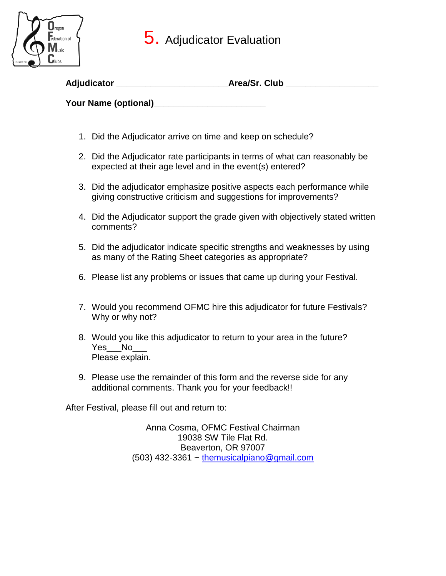### 5. Adjudicator Evaluation



| Adjudicator          | Area/Sr. Club |
|----------------------|---------------|
| Your Name (optional) |               |

- 1. Did the Adjudicator arrive on time and keep on schedule?
- 2. Did the Adjudicator rate participants in terms of what can reasonably be expected at their age level and in the event(s) entered?
- 3. Did the adjudicator emphasize positive aspects each performance while giving constructive criticism and suggestions for improvements?
- 4. Did the Adjudicator support the grade given with objectively stated written comments?
- 5. Did the adjudicator indicate specific strengths and weaknesses by using as many of the Rating Sheet categories as appropriate?
- 6. Please list any problems or issues that came up during your Festival.
- 7. Would you recommend OFMC hire this adjudicator for future Festivals? Why or why not?
- 8. Would you like this adjudicator to return to your area in the future? Yes\_\_\_ No Please explain.
- 9. Please use the remainder of this form and the reverse side for any additional comments. Thank you for your feedback!!

After Festival, please fill out and return to:

Anna Cosma, OFMC Festival Chairman 19038 SW Tile Flat Rd. Beaverton, OR 97007  $(503)$  432-3361 ~ [themusicalpiano@gmail.com](http://themusicalpiano@gmail.com/)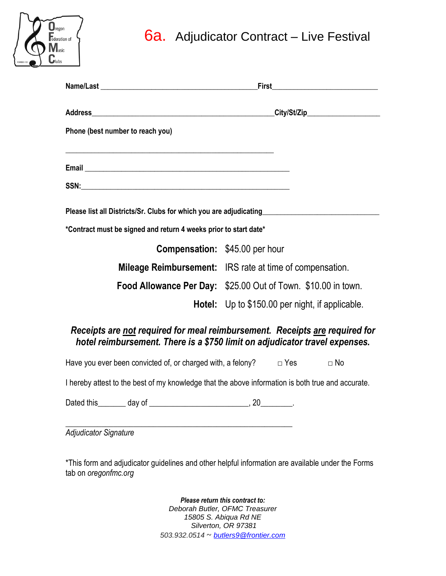### 6a. Adjudicator Contract – Live Festival

|              | lregon<br>ederation of<br>IV<br>lusic |  |
|--------------|---------------------------------------|--|
| FOUNDED 1921 | llubs                                 |  |

|                                                                                                      | <b>First</b>                                                                                                                                               |  |
|------------------------------------------------------------------------------------------------------|------------------------------------------------------------------------------------------------------------------------------------------------------------|--|
|                                                                                                      |                                                                                                                                                            |  |
| Phone (best number to reach you)                                                                     |                                                                                                                                                            |  |
|                                                                                                      |                                                                                                                                                            |  |
|                                                                                                      |                                                                                                                                                            |  |
| Please list all Districts/Sr. Clubs for which you are adjudicating__________________________________ |                                                                                                                                                            |  |
| *Contract must be signed and return 4 weeks prior to start date*                                     |                                                                                                                                                            |  |
|                                                                                                      | <b>Compensation:</b> \$45.00 per hour                                                                                                                      |  |
|                                                                                                      | <b>Mileage Reimbursement:</b> IRS rate at time of compensation.                                                                                            |  |
|                                                                                                      | Food Allowance Per Day: \$25.00 Out of Town. \$10.00 in town.                                                                                              |  |
|                                                                                                      | <b>Hotel:</b> Up to \$150.00 per night, if applicable.                                                                                                     |  |
|                                                                                                      | Receipts are not required for meal reimbursement. Receipts are required for<br>hotel reimbursement. There is a \$750 limit on adjudicator travel expenses. |  |
| Have you ever been convicted of, or charged with, a felony? $\Box$ Yes                               | $\Box$ No                                                                                                                                                  |  |
|                                                                                                      |                                                                                                                                                            |  |

I hereby attest to the best of my knowledge that the above information is both true and accurate.

Dated this\_\_\_\_\_\_\_ day of \_\_\_\_\_\_\_\_\_\_\_\_\_\_\_\_\_\_\_\_\_\_\_\_\_, 20\_\_\_\_\_\_\_\_.

\_\_\_\_\_\_\_\_\_\_\_\_\_\_\_\_\_\_\_\_\_\_\_\_\_\_\_\_\_\_\_\_\_\_\_\_\_\_\_\_\_\_\_\_\_\_\_\_\_\_\_\_\_\_\_\_\_ *Adjudicator Signature*

\*This form and adjudicator guidelines and other helpful information are available under the Forms tab on *oregonfmc.org*

> *Please return this contract to: Deborah Butler, OFMC Treasurer 15805 S. Abiqua Rd NE Silverton, OR 97381 503.932.0514* ~ *[butlers9@frontier.com](mailto:butlers9@frontier.com)*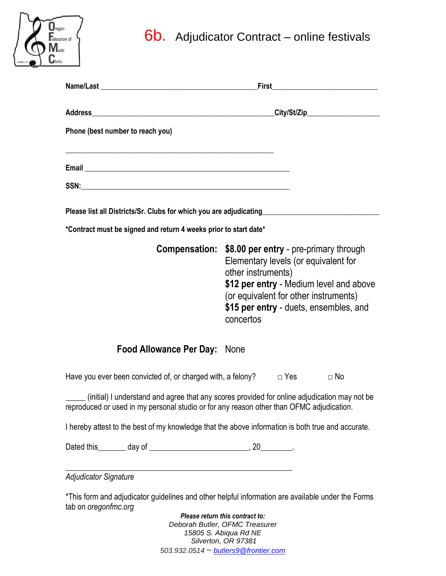# **6b.** Adjudicator Contract – online festivals

 $\sum_{\text{regon}}$  $\overline{\phantom{a}}$  ederation of **Music**  $C_{\text{lubs}}$ 

| Phone (best number to reach you)                                                                                                                                                         |                                 |                                      |                                                                                                                            |
|------------------------------------------------------------------------------------------------------------------------------------------------------------------------------------------|---------------------------------|--------------------------------------|----------------------------------------------------------------------------------------------------------------------------|
| <u> 1989 - Johann John Stone, markin sanadi ya kutoka mwaka wa 1989 - Amanduki amini wa 1989 - Amanduki amini wa </u>                                                                    |                                 |                                      |                                                                                                                            |
|                                                                                                                                                                                          |                                 |                                      |                                                                                                                            |
| Please list all Districts/Sr. Clubs for which you are adjudicating_____________________                                                                                                  |                                 |                                      |                                                                                                                            |
| *Contract must be signed and return 4 weeks prior to start date*                                                                                                                         |                                 |                                      |                                                                                                                            |
| Compensation: \$8.00 per entry - pre-primary through                                                                                                                                     | other instruments)<br>concertos | Elementary levels (or equivalent for | \$12 per entry - Medium level and above<br>(or equivalent for other instruments)<br>\$15 per entry - duets, ensembles, and |
| <b>Food Allowance Per Day: None</b>                                                                                                                                                      |                                 |                                      |                                                                                                                            |
| Have you ever been convicted of, or charged with, a felony? $\Box$ Yes $\Box$ No                                                                                                         |                                 |                                      |                                                                                                                            |
| (initial) I understand and agree that any scores provided for online adjudication may not be<br>reproduced or used in my personal studio or for any reason other than OFMC adjudication. |                                 |                                      |                                                                                                                            |
| I hereby attest to the best of my knowledge that the above information is both true and accurate.                                                                                        |                                 |                                      |                                                                                                                            |
|                                                                                                                                                                                          |                                 |                                      |                                                                                                                            |
| <b>Adjudicator Signature</b>                                                                                                                                                             |                                 |                                      |                                                                                                                            |
| *This form and adjudicator guidelines and other helpful information are available under the Forms<br>tab on oregonfmc.org                                                                | Please return this contract to: |                                      |                                                                                                                            |

*Deborah Butler, OFMC Treasurer 15805 S. Abiqua Rd NE Silverton, OR 97381 503.932.0514* ~ *[butlers9@frontier.com](mailto:butlers9@frontier.com)*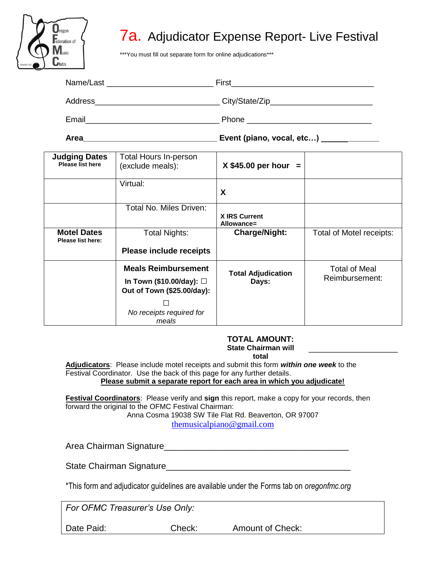

### 7a. Adjudicator Expense Report- Live Festival

\*\*\*You must fill out separate form for online adjudications\*\*\*

|                                                 |                                                  | Event (piano, vocal, etc) _______________ |                          |
|-------------------------------------------------|--------------------------------------------------|-------------------------------------------|--------------------------|
| <b>Judging Dates</b><br><b>Please list here</b> | <b>Total Hours In-person</b><br>(exclude meals): | $X$ \$45.00 per hour =                    |                          |
|                                                 | Virtual:                                         | X                                         |                          |
|                                                 | Total No. Miles Driven:                          | <b>X IRS Current</b><br>Allowance=        |                          |
| <b>Motel Dates</b>                              | <b>Total Nights:</b>                             | <b>Charge/Night:</b>                      | Total of Motel receipts: |

#### **TOTAL AMOUNT: State Chairman will total**

**Total Adjudication Days:**

Total of Meal Reimbursement:

\_\_\_\_\_\_\_\_\_\_\_\_\_\_\_\_\_\_\_\_

**Adjudicators**: Please include motel receipts and submit this form *within one week* to the Festival Coordinator. Use the back of this page for any further details.

**Please include receipts**

**Meals Reimbursement In Town (\$10.00/day):** □ **Out of Town (\$25.00/day):** □ *No receipts required for meals*

**Please submit a separate report for each area in which you adjudicate!**

**Festival Coordinators**: Please verify and **sign** this report, make a copy for your records, then forward the original to the OFMC Festival Chairman: Anna Cosma 19038 SW Tile Flat Rd. Beaverton, OR 97007

[themusicalpiano@gmail.com](http://themusicalpiano@gmail.com/)

Area Chairman Signature\_\_\_\_\_\_\_\_\_\_\_\_\_\_\_\_\_\_\_\_\_\_\_\_\_\_\_\_\_\_\_\_\_\_\_\_\_\_

State Chairman Signature\_\_\_\_\_\_\_\_\_\_\_\_\_\_\_\_\_\_\_\_\_\_\_\_\_\_\_\_\_\_\_\_\_\_\_\_\_\_

\*This form and adjudicator guidelines are available under the Forms tab on *oregonfmc.org*

*For OFMC Treasurer's Use Only:*

**Please list here:**

Date Paid: Check: Amount of Check: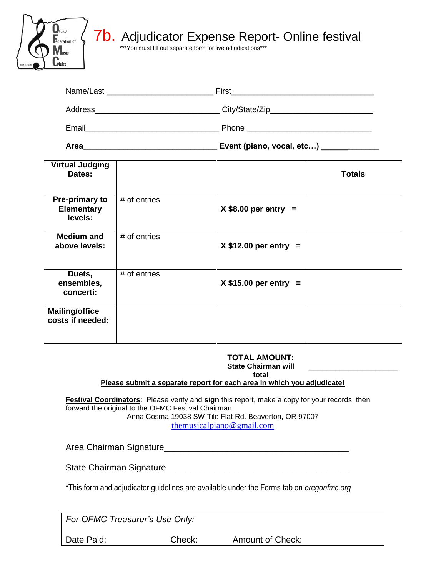

### **7b.** Adjudicator Expense Report- Online festival

\*\*\*You must fill out separate form for live adjudications\*\*\*

| Name/Last | First           |
|-----------|-----------------|
| Address   | City/State/Zip_ |
| Email     | Phone           |

**Area\_\_\_\_\_\_\_\_\_\_\_\_\_\_\_\_\_\_\_\_\_\_\_\_\_\_\_\_\_\_ Event (piano, vocal, etc…) \_\_\_\_\_\_\_\_\_\_\_\_\_**

| <b>Virtual Judging</b><br>Dates:               |              |                        | <b>Totals</b> |
|------------------------------------------------|--------------|------------------------|---------------|
| Pre-primary to<br><b>Elementary</b><br>levels: | # of entries | $X$ \$8.00 per entry = |               |
| <b>Medium and</b><br>above levels:             | # of entries | $X $12.00$ per entry = |               |
| Duets,<br>ensembles,<br>concerti:              | # of entries | $X $15.00$ per entry = |               |
| <b>Mailing/office</b><br>costs if needed:      |              |                        |               |

### **TOTAL AMOUNT:**

**State Chairman will** 

\_\_\_\_\_\_\_\_\_\_\_\_\_\_\_\_\_\_\_\_

**total**

#### **Please submit a separate report for each area in which you adjudicate!**

**Festival Coordinators**: Please verify and **sign** this report, make a copy for your records, then forward the original to the OFMC Festival Chairman:

Anna Cosma 19038 SW Tile Flat Rd. Beaverton, OR 97007

[themusicalpiano@gmail.com](http://themusicalpiano@gmail.com/)

Area Chairman Signature\_\_\_\_\_\_\_\_\_\_\_\_\_\_\_\_\_\_\_\_\_\_\_\_\_\_\_\_\_\_\_\_\_\_\_\_\_\_

State Chairman Signature\_\_\_\_\_\_\_\_\_\_\_\_\_\_\_\_\_\_\_\_\_\_\_\_\_\_\_\_\_\_\_\_\_\_\_\_\_\_

\*This form and adjudicator guidelines are available under the Forms tab on *oregonfmc.org*

*For OFMC Treasurer's Use Only:*

Date Paid: Check: Amount of Check: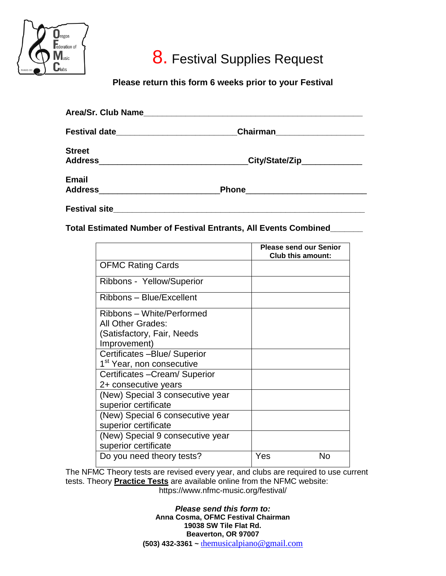

## 8. Festival Supplies Request

### **Please return this form 6 weeks prior to your Festival**

| Festival date_________________________ | Chairman______________________ |
|----------------------------------------|--------------------------------|
| <b>Street</b>                          |                                |
| Address                                | _City/State/Zip_____________   |
| <b>Email</b>                           |                                |
| Address                                | <b>Phone</b>                   |
|                                        |                                |

**Festival site\_\_\_\_\_\_\_\_\_\_\_\_\_\_\_\_\_\_\_\_\_\_\_\_\_\_\_\_\_\_\_\_\_\_\_\_\_\_\_\_\_\_\_\_\_\_\_\_\_\_\_\_\_\_**

**Total Estimated Number of Festival Entrants, All Events Combined\_\_\_\_\_\_\_**

|                                       | <b>Please send our Senior</b><br><b>Club this amount:</b> |
|---------------------------------------|-----------------------------------------------------------|
| <b>OFMC Rating Cards</b>              |                                                           |
| Ribbons - Yellow/Superior             |                                                           |
| Ribbons - Blue/Excellent              |                                                           |
| Ribbons – White/Performed             |                                                           |
| All Other Grades:                     |                                                           |
| (Satisfactory, Fair, Needs            |                                                           |
| Improvement)                          |                                                           |
| Certificates - Blue/ Superior         |                                                           |
| 1 <sup>st</sup> Year, non consecutive |                                                           |
| Certificates - Cream/ Superior        |                                                           |
| 2+ consecutive years                  |                                                           |
| (New) Special 3 consecutive year      |                                                           |
| superior certificate                  |                                                           |
| (New) Special 6 consecutive year      |                                                           |
| superior certificate                  |                                                           |
| (New) Special 9 consecutive year      |                                                           |
| superior certificate                  |                                                           |
| Do you need theory tests?             | No<br>Yes                                                 |

The NFMC Theory tests are revised every year, and clubs are required to use current tests. Theory **Practice Tests** are available online from the NFMC website: https://www.nfmc-music.org/festival/

> *Please send this form to:* **Anna Cosma, OFMC Festival Chairman 19038 SW Tile Flat Rd. Beaverton, OR 97007 (503) 432-3361 ~** t[hemusicalpiano@gmail.com](http://themusicalpiano@gmail.com/)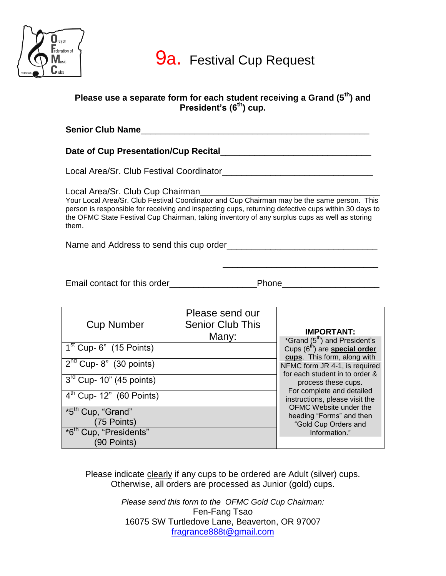

### **Please use a separate form for each student receiving a Grand (5th) and President's (6th) cup.**

| <b>Senior Club Name</b>                                                                                                                                                                                                                                                                                      |
|--------------------------------------------------------------------------------------------------------------------------------------------------------------------------------------------------------------------------------------------------------------------------------------------------------------|
| Date of Cup Presentation/Cup Recital                                                                                                                                                                                                                                                                         |
| Local Area/Sr. Club Festival Coordinator                                                                                                                                                                                                                                                                     |
| Your Local Area/Sr. Club Festival Coordinator and Cup Chairman may be the same person. This<br>person is responsible for receiving and inspecting cups, returning defective cups within 30 days to<br>the OFMC State Festival Cup Chairman, taking inventory of any surplus cups as well as storing<br>them. |
| Name and Address to send this cup order the control of the control of the control of the control of the control of the control of the control of the control of the control of the control of the control of the control of th                                                                               |
|                                                                                                                                                                                                                                                                                                              |

Email contact for this order example and phone phone phone  $\blacksquare$ 

| <b>Cup Number</b>                                 | Please send our<br><b>Senior Club This</b><br>Many: | <b>IMPORTANT:</b><br>*Grand (5 <sup>th</sup> ) and President's                  |
|---------------------------------------------------|-----------------------------------------------------|---------------------------------------------------------------------------------|
| $1st$ Cup- 6" (15 Points)                         |                                                     | Cups (6 <sup>th</sup> ) are <b>special order</b><br>cups. This form, along with |
| $2nd$ Cup- 8" (30 points)                         |                                                     | NFMC form JR 4-1, is required<br>for each student in to order &                 |
| $3rd$ Cup- 10" (45 points)                        |                                                     | process these cups.<br>For complete and detailed                                |
| $4th$ Cup- 12" (60 Points)                        |                                                     | instructions, please visit the<br>OFMC Website under the                        |
| *5 <sup>th</sup> Cup, "Grand"<br>(75 Points)      |                                                     | heading "Forms" and then<br>"Gold Cup Orders and                                |
| *6 <sup>th</sup> Cup, "Presidents"<br>(90 Points) |                                                     | Information."                                                                   |

Please indicate clearly if any cups to be ordered are Adult (silver) cups. Otherwise, all orders are processed as Junior (gold) cups.

> *Please send this form to the OFMC Gold Cup Chairman:* Fen-Fang Tsao 16075 SW Turtledove Lane, Beaverton, OR 97007 [fragrance888t@gmail.com](http://fragrance888t@gmail.com/)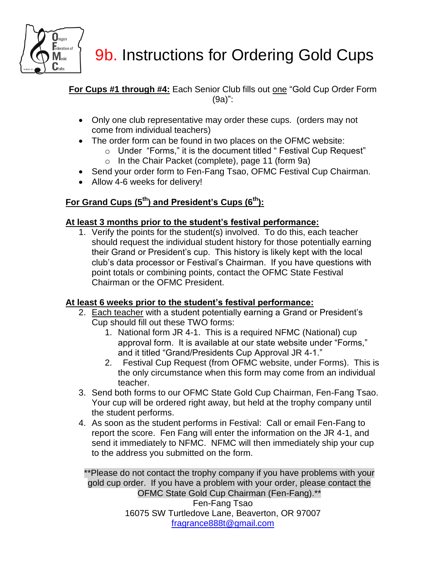

# 9b. Instructions for Ordering Gold Cups

**For Cups #1 through #4:** Each Senior Club fills out one "Gold Cup Order Form (9a)":

- Only one club representative may order these cups. (orders may not come from individual teachers)
- The order form can be found in two places on the OFMC website:
	- o Under "Forms," it is the document titled " Festival Cup Request"
	- o In the Chair Packet (complete), page 11 (form 9a)
- Send your order form to Fen-Fang Tsao, OFMC Festival Cup Chairman.
- Allow 4-6 weeks for delivery!

### **For Grand Cups (5th) and President's Cups (6th):**

### **At least 3 months prior to the student's festival performance:**

1. Verify the points for the student(s) involved. To do this, each teacher should request the individual student history for those potentially earning their Grand or President's cup. This history is likely kept with the local club's data processor or Festival's Chairman. If you have questions with point totals or combining points, contact the OFMC State Festival Chairman or the OFMC President.

### **At least 6 weeks prior to the student's festival performance:**

- 2. Each teacher with a student potentially earning a Grand or President's Cup should fill out these TWO forms:
	- 1. National form JR 4-1. This is a required NFMC (National) cup approval form. It is available at our state website under "Forms," and it titled "Grand/Presidents Cup Approval JR 4-1."
	- 2. Festival Cup Request (from OFMC website, under Forms). This is the only circumstance when this form may come from an individual teacher.
- 3. Send both forms to our OFMC State Gold Cup Chairman, Fen-Fang Tsao. Your cup will be ordered right away, but held at the trophy company until the student performs.
- 4. As soon as the student performs in Festival: Call or email Fen-Fang to report the score. Fen Fang will enter the information on the JR 4-1, and send it immediately to NFMC. NFMC will then immediately ship your cup to the address you submitted on the form.

\*\*Please do not contact the trophy company if you have problems with your gold cup order. If you have a problem with your order, please contact the OFMC State Gold Cup Chairman (Fen-Fang).\*\* Fen-Fang Tsao 16075 SW Turtledove Lane, Beaverton, OR 97007 [fragrance888t@gmail.com](http://fragrance888t@gmail.com/)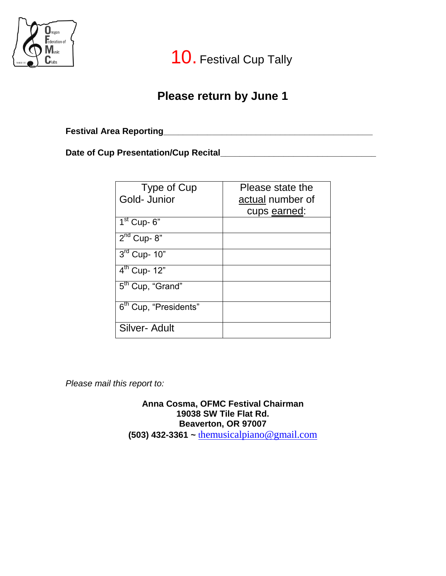

10. Festival Cup Tally

### **Please return by June 1**

**Festival Area Reporting\_\_\_\_\_\_\_\_\_\_\_\_\_\_\_\_\_\_\_\_\_\_\_\_\_\_\_\_\_\_\_\_\_\_\_\_\_\_\_\_\_\_\_**

**Date of Cup Presentation/Cup Recital\_\_\_\_\_\_\_\_\_\_\_\_\_\_\_\_\_\_\_\_\_\_\_\_\_\_\_\_\_\_\_\_**

| Type of Cup                       | Please state the |
|-----------------------------------|------------------|
| Gold- Junior                      | actual number of |
|                                   | cups earned:     |
| $1st$ Cup- 6"                     |                  |
| $2nd$ Cup-8"                      |                  |
| $3rd$ Cup- 10"                    |                  |
| $4^{th}$ Cup- 12"                 |                  |
| 5 <sup>th</sup> Cup, "Grand"      |                  |
| 6 <sup>th</sup> Cup, "Presidents" |                  |
| Silver- Adult                     |                  |

*Please mail this report to:*

**Anna Cosma, OFMC Festival Chairman 19038 SW Tile Flat Rd. Beaverton, OR 97007 (503) 432-3361 ~** t[hemusicalpiano@gmail.com](http://themusicalpiano@gmail.com/)